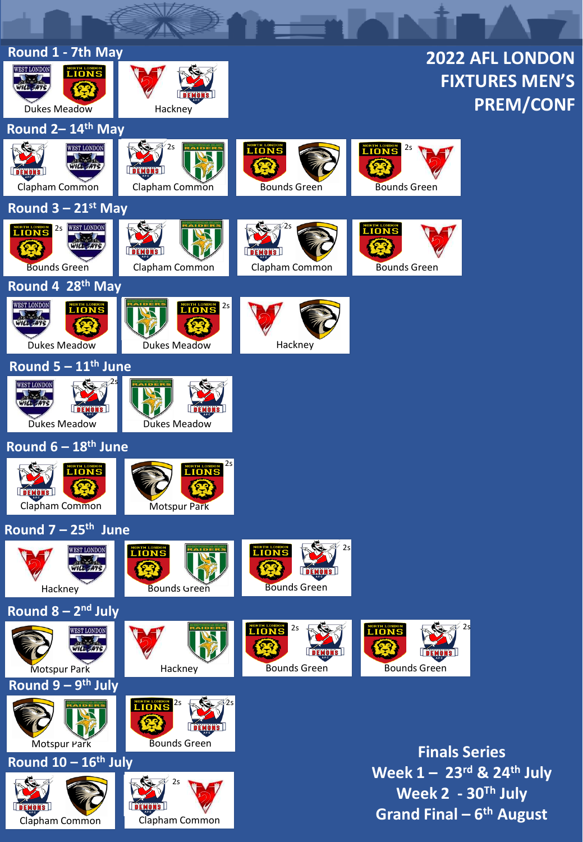| Round 1 - 7th May<br><b>2022 AFL LONDON</b>                         |                                                   |                                           |                                                                             |                       |  |  |
|---------------------------------------------------------------------|---------------------------------------------------|-------------------------------------------|-----------------------------------------------------------------------------|-----------------------|--|--|
| <b>WEST LONDON</b><br><b>LIONS</b>                                  |                                                   |                                           |                                                                             | <b>FIXTURES MEN'S</b> |  |  |
| <b>Dukes Meadow</b>                                                 | Hackney                                           |                                           |                                                                             | <b>PREM/CONF</b>      |  |  |
| Round 2-14 <sup>th</sup> May                                        | $^{\prime}$ 2s                                    |                                           |                                                                             |                       |  |  |
| <b>WEST LONDON</b><br>WILL - ATS<br><b>DEMONS</b><br>Clapham Common | Clapham Common                                    | <b>LIONS</b><br><b>Bounds Green</b>       | <b>LIONS</b> <sup>25</sup><br><b>Bounds Green</b>                           |                       |  |  |
| Round $3 - 21$ <sup>st</sup> May                                    |                                                   |                                           |                                                                             |                       |  |  |
| <b>LIONS</b> 25 WEST LONDON<br><b>Bounds Green</b>                  | <b>DEMONS</b><br>Clapham Common                   | Clapham Common                            | <b>LIONS</b><br><b>Bounds Green</b>                                         |                       |  |  |
| Round 4 28 <sup>th</sup> May                                        |                                                   |                                           |                                                                             |                       |  |  |
| <b>WEST LONDON</b><br><b>LIONS</b><br><b>Dukes Meadow</b>           | LIONS <sup>25</sup><br>Dukes Meadow               | Hackney                                   |                                                                             |                       |  |  |
| Round $5 - 11th$ June                                               |                                                   |                                           |                                                                             |                       |  |  |
| <b>WEST LONDON</b><br><b>Dukes Meadow</b>                           | Dukes Meadow                                      |                                           |                                                                             |                       |  |  |
| Round 6 - 18th June                                                 |                                                   |                                           |                                                                             |                       |  |  |
| <b>LIONS</b><br><b>DEMONS</b><br>Clapham Common                     | 2s<br>NORTH LONDON<br><b>Motspur Park</b>         |                                           |                                                                             |                       |  |  |
| Round $7 - 25$ <sup>th</sup> June                                   |                                                   |                                           |                                                                             |                       |  |  |
| <b>WEST LONDON</b><br>Hackney                                       | <b>LIONS</b><br><b>Bounds Green</b>               | 2s<br><b>LIONS</b><br><b>Bounds Green</b> |                                                                             |                       |  |  |
| Round $8 - 2nd$ July                                                |                                                   |                                           |                                                                             |                       |  |  |
| <b>WEST LONDON</b><br>WILL - ATS<br><b>Motspur Park</b>             | Hackney                                           | <b>LIONS</b> 2S<br><b>Bounds Green</b>    | <b>LIONS</b><br><b>Bounds Green</b>                                         |                       |  |  |
| Round $9 - 9$ <sup>th</sup> July                                    |                                                   |                                           |                                                                             |                       |  |  |
| Motspur Park                                                        | <b>LIONS</b> <sup>25</sup><br><b>Bounds Green</b> |                                           |                                                                             |                       |  |  |
| Round 10 - 16th July                                                |                                                   |                                           | <b>Finals Series</b><br>Week $1 - 23$ <sup>rd</sup> & 24 <sup>th</sup> July |                       |  |  |
| <b>DEMONS</b><br>Clapham Common                                     | 2s<br><u>  DEMONS  </u><br>Clapham Common         |                                           | Week $2 - 30$ <sup>Th</sup> July<br>Grand Final – $6th$ August              |                       |  |  |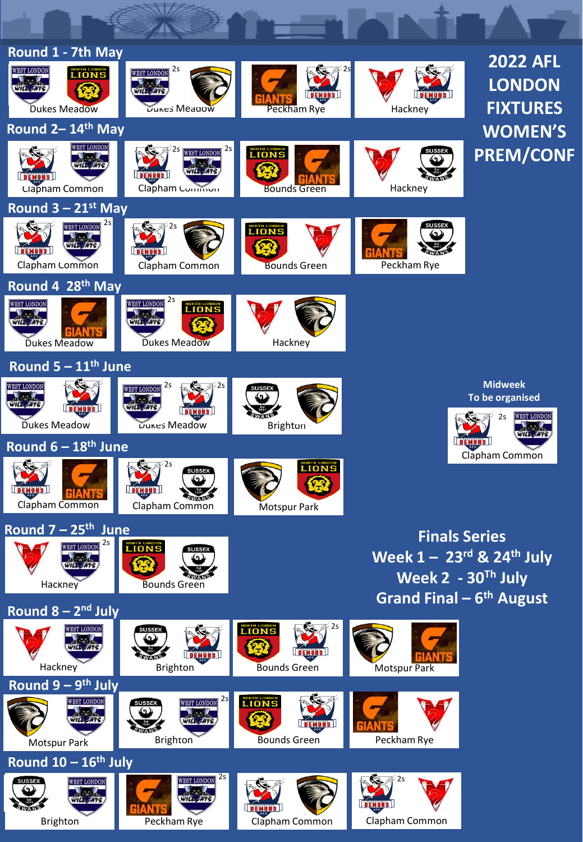| Round 1 - 7th May<br><b>WEST LONDON</b>                          | 2s<br><b>WEST LONDON</b>                                                    |                                                    |                                                                             | <b>2022 AFL</b>                                               |  |  |  |
|------------------------------------------------------------------|-----------------------------------------------------------------------------|----------------------------------------------------|-----------------------------------------------------------------------------|---------------------------------------------------------------|--|--|--|
| <b>LIONS</b><br>WILL = ATS<br><b>Dukes Meadow</b>                | DUKES Meadow                                                                | Peckham Rye                                        | Hackney                                                                     | <b>LONDON</b><br><b>FIXTURES</b>                              |  |  |  |
| Round 2-14th May                                                 |                                                                             |                                                    |                                                                             | <b>WOMEN'S</b>                                                |  |  |  |
| <u>WEST LONDON</u><br>WILL SATS<br><b>Clapham Common</b>         | 2s <br>25 WEST LONDON<br>WILL -AT<br>Clapham Common                         | <b>LIONS</b><br><b>Bounds Green</b>                | <b>SUSSEX</b><br>Hackney                                                    | <b>PREM/CONF</b>                                              |  |  |  |
| Round $3 - 21$ <sup>st</sup> May                                 |                                                                             |                                                    |                                                                             |                                                               |  |  |  |
| <b>WEST LONDON</b> 2s<br>WILL<br><b>DEMONS</b><br>Clapham Common | 2s<br>Clapham Common                                                        | <b>LIONS</b><br><b>Bounds Green</b>                | <b>SUSSEX</b><br>Peckham Rye                                                |                                                               |  |  |  |
| Round 4 28 <sup>th</sup> May                                     |                                                                             |                                                    |                                                                             |                                                               |  |  |  |
| <b>WEST LONDON</b><br>Dukes Meadow                               | <b>WEST LONDON</b> 2S<br><b>LIONS</b><br><b>Dukes Meadow</b>                | Hackney                                            |                                                                             |                                                               |  |  |  |
| Round $5 - 11th$ June                                            |                                                                             |                                                    |                                                                             |                                                               |  |  |  |
| <b>WEST LONDON</b><br>WILL <del>- A</del> 7S<br>Dukes Meadow     | WEST LONDON 2S<br>$\sqrt{2s}$<br>WRLE<br><b>DEMONS</b><br>Dukes Meadow      | <b>SUSSEX</b><br>Brighton                          |                                                                             | <b>Midweek</b><br>To be organised<br><b>WEST LONDON</b><br>2s |  |  |  |
| Round $6 - 18$ <sup>th</sup> June                                |                                                                             |                                                    |                                                                             |                                                               |  |  |  |
| Clapham Common                                                   | ∕ 2s<br><b>SUSSEX</b><br>SWANE<br>Clapham Common                            | <b>LIONS</b><br><b>NOTSPUT PATK</b>                |                                                                             | Clapham Common                                                |  |  |  |
| Round 7 - 25 <sup>th</sup> June<br><b>Finals Series</b>          |                                                                             |                                                    |                                                                             |                                                               |  |  |  |
| 2s<br>Hackney                                                    | <b>LIONS</b><br><b>SUSSEX</b><br><b>Bounds Green</b>                        |                                                    | Week $1 - 23$ <sup>rd</sup> & 24 <sup>th</sup> July<br>Week $2 - 30Th$ July |                                                               |  |  |  |
| Round $8 - 2nd$ July                                             |                                                                             |                                                    | Grand Final $-6$ <sup>th</sup> August                                       |                                                               |  |  |  |
| <b>VEST LONDON</b><br>Hackney                                    | <b>SUSSEX</b><br>Brighton                                                   | <b>LIONS</b><br>$\sqrt{2s}$<br><b>Bounds Green</b> | <b>Motspur Park</b>                                                         |                                                               |  |  |  |
| Round $9 - 9$ <sup>th</sup> July                                 |                                                                             |                                                    |                                                                             |                                                               |  |  |  |
| <b>WEST LONDON</b><br>Motspur Park                               | 2s<br><b>WEST LONDON</b><br>SUSSEX<br>WILE<br><b>WAN</b><br><b>Brighton</b> | <b>LIONS</b><br><b>Bounds Green</b>                | Peckham Rye                                                                 |                                                               |  |  |  |
| Round 10 - 16th July                                             |                                                                             |                                                    |                                                                             |                                                               |  |  |  |
| <b>SUSSEX</b><br><b>WEST LONDON</b><br>WILL.<br><b>Brighton</b>  | 2s<br><b>WEST LONDON</b><br>WILL SAT!<br>Peckham Rye                        | <b>DEMONS</b><br>Clapham Common                    | 2s<br>Clapham Common                                                        |                                                               |  |  |  |